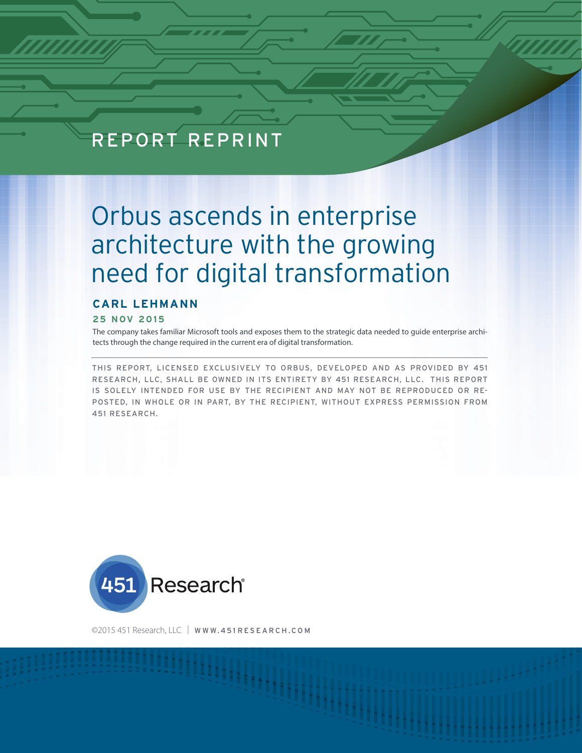# REPORT REPRINT

# Orbus ascends in enterprise architecture with the growing need for digital transformation

## **CARL LEHMANN**

#### **25 NOV 2015**

The company takes familiar Microsoft tools and exposes them to the strategic data needed to guide enterprise architects through the change required in the current era of digital transformation.

THIS REPORT, LICENSED EXCLUSIVELY TO ORBUS, DEVELOPED AND AS PROVIDED BY 451 RESEARCH, LLC, SHALL BE OWNED IN ITS ENTIRETY BY 451 RESEARCH, LLC. THIS REPORT IS SOLELY INTENDED FOR USE BY THE RECIPIENT AND MAY NOT BE REPRODUCED OR RE-POSTED, IN WHOLE OR IN PART, BY THE RECIPIENT, WITHOUT EXPRESS PERMISSION FROM 451 RESEARCH.



©2015 451 Research, LLC | WWW.451 RESEARCH.COM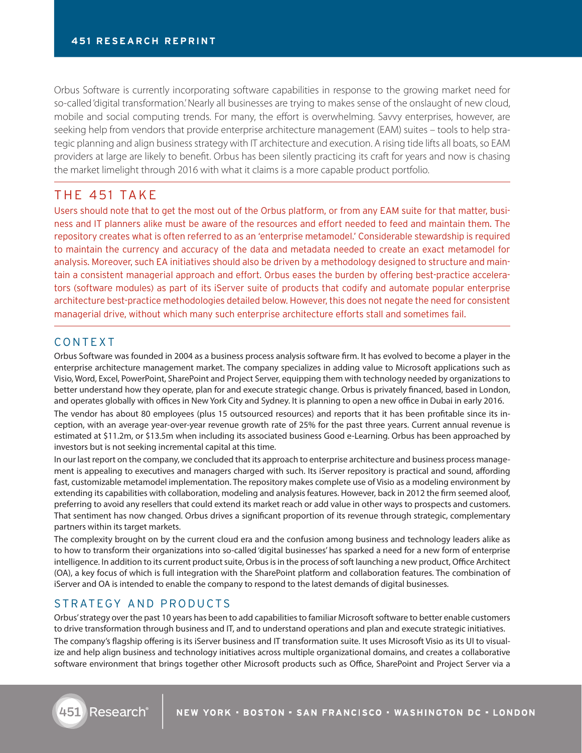Orbus Software is currently incorporating software capabilities in response to the growing market need for so-called 'digital transformation.' Nearly all businesses are trying to makes sense of the onslaught of new cloud, mobile and social computing trends. For many, the effort is overwhelming. Savvy enterprises, however, are seeking help from vendors that provide enterprise architecture management (EAM) suites – tools to help strategic planning and align business strategy with IT architecture and execution. A rising tide lifts all boats, so EAM providers at large are likely to benefit. Orbus has been silently practicing its craft for years and now is chasing the market limelight through 2016 with what it claims is a more capable product portfolio.

# THE 451 TAKE

Users should note that to get the most out of the Orbus platform, or from any EAM suite for that matter, business and IT planners alike must be aware of the resources and effort needed to feed and maintain them. The repository creates what is often referred to as an 'enterprise metamodel.' Considerable stewardship is required to maintain the currency and accuracy of the data and metadata needed to create an exact metamodel for analysis. Moreover, such EA initiatives should also be driven by a methodology designed to structure and maintain a consistent managerial approach and effort. Orbus eases the burden by offering best-practice accelerators (software modules) as part of its iServer suite of products that codify and automate popular enterprise architecture best-practice methodologies detailed below. However, this does not negate the need for consistent managerial drive, without which many such enterprise architecture efforts stall and sometimes fail.

## CONTEXT

Orbus Software was founded in 2004 as a business process analysis software firm. It has evolved to become a player in the enterprise architecture management market. The company specializes in adding value to Microsoft applications such as Visio, Word, Excel, PowerPoint, SharePoint and Project Server, equipping them with technology needed by organizations to better understand how they operate, plan for and execute strategic change. Orbus is privately financed, based in London, and operates globally with offices in New York City and Sydney. It is planning to open a new office in Dubai in early 2016. The vendor has about 80 employees (plus 15 outsourced resources) and reports that it has been profitable since its inception, with an average year-over-year revenue growth rate of 25% for the past three years. Current annual revenue is estimated at \$11.2m, or \$13.5m when including its associated business Good e-Learning. Orbus has been approached by investors but is not seeking incremental capital at this time.

In our last report on the company, we concluded that its approach to enterprise architecture and business process management is appealing to executives and managers charged with such. Its iServer repository is practical and sound, affording fast, customizable metamodel implementation. The repository makes complete use of Visio as a modeling environment by extending its capabilities with collaboration, modeling and analysis features. However, back in 2012 the firm seemed aloof, preferring to avoid any resellers that could extend its market reach or add value in other ways to prospects and customers. That sentiment has now changed. Orbus drives a significant proportion of its revenue through strategic, complementary partners within its target markets.

The complexity brought on by the current cloud era and the confusion among business and technology leaders alike as to how to transform their organizations into so-called 'digital businesses' has sparked a need for a new form of enterprise intelligence. In addition to its current product suite, Orbus is in the process of soft launching a new product, Office Architect (OA), a key focus of which is full integration with the SharePoint platform and collaboration features. The combination of iServer and OA is intended to enable the company to respond to the latest demands of digital businesses.

#### STRATEGY AND PRODUCTS

Orbus' strategy over the past 10 years has been to add capabilities to familiar Microsoft software to better enable customers to drive transformation through business and IT, and to understand operations and plan and execute strategic initiatives. The company's flagship offering is its iServer business and IT transformation suite. It uses Microsoft Visio as its UI to visualize and help align business and technology initiatives across multiple organizational domains, and creates a collaborative software environment that brings together other Microsoft products such as Office, SharePoint and Project Server via a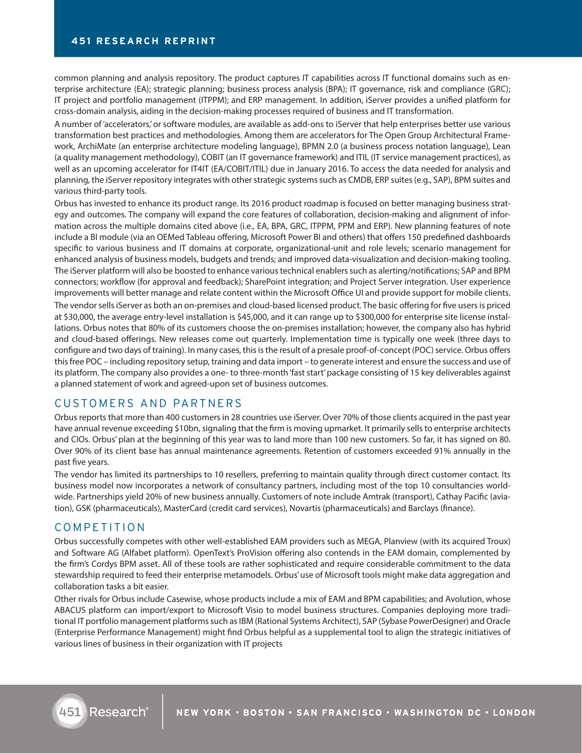common planning and analysis repository. The product captures IT capabilities across IT functional domains such as enterprise architecture (EA); strategic planning; business process analysis (BPA); IT governance, risk and compliance (GRC); IT project and portfolio management (ITPPM); and ERP management. In addition, iServer provides a unified platform for cross-domain analysis, aiding in the decision-making processes required of business and IT transformation.

A number of 'accelerators,' or software modules, are available as add-ons to iServer that help enterprises better use various transformation best practices and methodologies. Among them are accelerators for The Open Group Architectural Framework, ArchiMate (an enterprise architecture modeling language), BPMN 2.0 (a business process notation language), Lean (a quality management methodology), COBIT (an IT governance framework) and ITIL (IT service management practices), as well as an upcoming accelerator for IT4IT (EA/COBIT/ITIL) due in January 2016. To access the data needed for analysis and planning, the iServer repository integrates with other strategic systems such as CMDB, ERP suites (e.g., SAP), BPM suites and various third-party tools.

Orbus has invested to enhance its product range. Its 2016 product roadmap is focused on better managing business strategy and outcomes. The company will expand the core features of collaboration, decision-making and alignment of information across the multiple domains cited above (i.e., EA, BPA, GRC, ITPPM, PPM and ERP). New planning features of note include a BI module (via an OEMed Tableau offering, Microsoft Power BI and others) that offers 150 predefined dashboards specific to various business and IT domains at corporate, organizational-unit and role levels; scenario management for enhanced analysis of business models, budgets and trends; and improved data-visualization and decision-making tooling. The iServer platform will also be boosted to enhance various technical enablers such as alerting/notifications; SAP and BPM connectors; workflow (for approval and feedback); SharePoint integration; and Project Server integration. User experience improvements will better manage and relate content within the Microsoft Office UI and provide support for mobile clients. The vendor sells iServer as both an on-premises and cloud-based licensed product. The basic offering for five users is priced at \$30,000, the average entry-level installation is \$45,000, and it can range up to \$300,000 for enterprise site license installations. Orbus notes that 80% of its customers choose the on-premises installation; however, the company also has hybrid and cloud-based offerings. New releases come out quarterly. Implementation time is typically one week (three days to configure and two days of training). In many cases, this is the result of a presale proof-of-concept (POC) service. Orbus offers this free POC – including repository setup, training and data import – to generate interest and ensure the success and use of its platform. The company also provides a one- to three-month 'fast start' package consisting of 15 key deliverables against a planned statement of work and agreed-upon set of business outcomes.

## CUSTOMERS AND PARTNERS

Orbus reports that more than 400 customers in 28 countries use iServer. Over 70% of those clients acquired in the past year have annual revenue exceeding \$10bn, signaling that the firm is moving upmarket. It primarily sells to enterprise architects and CIOs. Orbus' plan at the beginning of this year was to land more than 100 new customers. So far, it has signed on 80. Over 90% of its client base has annual maintenance agreements. Retention of customers exceeded 91% annually in the past five years.

The vendor has limited its partnerships to 10 resellers, preferring to maintain quality through direct customer contact. Its business model now incorporates a network of consultancy partners, including most of the top 10 consultancies worldwide. Partnerships yield 20% of new business annually. Customers of note include Amtrak (transport), Cathay Pacific (aviation), GSK (pharmaceuticals), MasterCard (credit card services), Novartis (pharmaceuticals) and Barclays (finance).

#### COMPETITION

Orbus successfully competes with other well-established EAM providers such as MEGA, Planview (with its acquired Troux) and Software AG (Alfabet platform). OpenText's ProVision offering also contends in the EAM domain, complemented by the firm's Cordys BPM asset. All of these tools are rather sophisticated and require considerable commitment to the data stewardship required to feed their enterprise metamodels. Orbus' use of Microsoft tools might make data aggregation and collaboration tasks a bit easier.

Other rivals for Orbus include Casewise, whose products include a mix of EAM and BPM capabilities; and Avolution, whose ABACUS platform can import/export to Microsoft Visio to model business structures. Companies deploying more traditional IT portfolio management platforms such as IBM (Rational Systems Architect), SAP (Sybase PowerDesigner) and Oracle (Enterprise Performance Management) might find Orbus helpful as a supplemental tool to align the strategic initiatives of various lines of business in their organization with IT projects